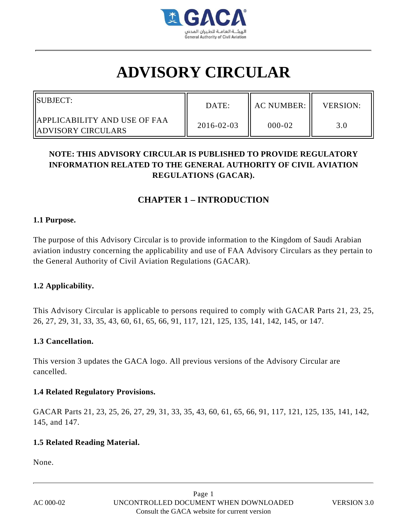

# **ADVISORY CIRCULAR**

| ISUBJECT:                                                    | DATE:      | <b>AC NUMBER:</b> | <b>VERSION:</b> |
|--------------------------------------------------------------|------------|-------------------|-----------------|
| IIAPPLICARILITY AND USE OF FAA<br><b>HADVISORY CIRCULARS</b> | 2016-02-03 | 000-02            | 3.0             |

## **NOTE: THIS ADVISORY CIRCULAR IS PUBLISHED TO PROVIDE REGULATORY INFORMATION RELATED TO THE GENERAL AUTHORITY OF CIVIL AVIATION REGULATIONS (GACAR).**

## **CHAPTER 1 – INTRODUCTION**

#### **1.1 Purpose.**

The purpose of this Advisory Circular is to provide information to the Kingdom of Saudi Arabian aviation industry concerning the applicability and use of FAA Advisory Circulars as they pertain to the General Authority of Civil Aviation Regulations (GACAR).

#### **1.2 Applicability.**

This Advisory Circular is applicable to persons required to comply with GACAR Parts 21, 23, 25, 26, 27, 29, 31, 33, 35, 43, 60, 61, 65, 66, 91, 117, 121, 125, 135, 141, 142, 145, or 147.

#### **1.3 Cancellation.**

This version 3 updates the GACA logo. All previous versions of the Advisory Circular are cancelled.

#### **1.4 Related Regulatory Provisions.**

GACAR Parts 21, 23, 25, 26, 27, 29, 31, 33, 35, 43, 60, 61, 65, 66, 91, 117, 121, 125, 135, 141, 142, 145, and 147.

#### **1.5 Related Reading Material.**

None.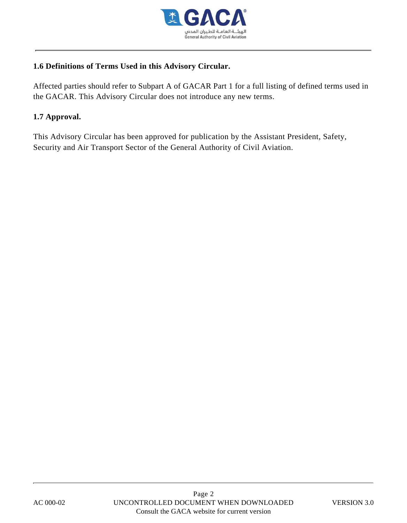

#### **1.6 Definitions of Terms Used in this Advisory Circular.**

Affected parties should refer to Subpart A of GACAR Part 1 for a full listing of defined terms used in the GACAR. This Advisory Circular does not introduce any new terms.

#### **1.7 Approval.**

This Advisory Circular has been approved for publication by the Assistant President, Safety, Security and Air Transport Sector of the General Authority of Civil Aviation.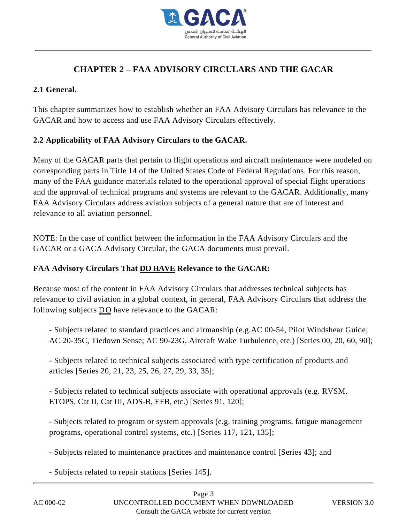

# **CHAPTER 2 – FAA ADVISORY CIRCULARS AND THE GACAR**

#### **2.1 General.**

This chapter summarizes how to establish whether an FAA Advisory Circulars has relevance to the GACAR and how to access and use FAA Advisory Circulars effectively.

#### **2.2 Applicability of FAA Advisory Circulars to the GACAR.**

Many of the GACAR parts that pertain to flight operations and aircraft maintenance were modeled on corresponding parts in Title 14 of the United States Code of Federal Regulations. For this reason, many of the FAA guidance materials related to the operational approval of special flight operations and the approval of technical programs and systems are relevant to the GACAR. Additionally, many FAA Advisory Circulars address aviation subjects of a general nature that are of interest and relevance to all aviation personnel.

NOTE: In the case of conflict between the information in the FAA Advisory Circulars and the GACAR or a GACA Advisory Circular, the GACA documents must prevail.

#### **FAA Advisory Circulars That DO HAVE Relevance to the GACAR:**

Because most of the content in FAA Advisory Circulars that addresses technical subjects has relevance to civil aviation in a global context, in general, FAA Advisory Circulars that address the following subjects DO have relevance to the GACAR:

- Subjects related to standard practices and airmanship (e.g.AC 00-54, Pilot Windshear Guide; AC 20-35C, Tiedown Sense; AC 90-23G, Aircraft Wake Turbulence, etc.) [Series 00, 20, 60, 90];

- Subjects related to technical subjects associated with type certification of products and articles [Series 20, 21, 23, 25, 26, 27, 29, 33, 35];

- Subjects related to technical subjects associate with operational approvals (e.g. RVSM, ETOPS, Cat II, Cat III, ADS-B, EFB, etc.) [Series 91, 120];

- Subjects related to program or system approvals (e.g. training programs, fatigue management programs, operational control systems, etc.) [Series 117, 121, 135];

- Subjects related to maintenance practices and maintenance control [Series 43]; and

- Subjects related to repair stations [Series 145].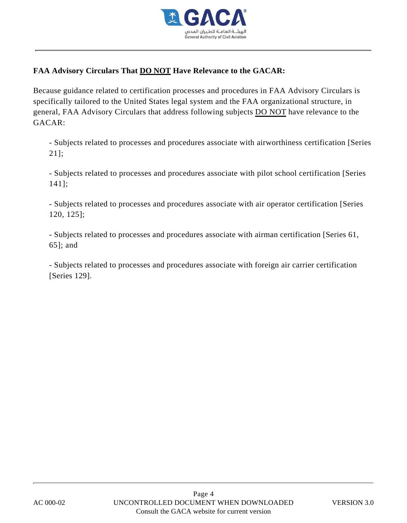

## **FAA Advisory Circulars That DO NOT Have Relevance to the GACAR:**

Because guidance related to certification processes and procedures in FAA Advisory Circulars is specifically tailored to the United States legal system and the FAA organizational structure, in general, FAA Advisory Circulars that address following subjects DO NOT have relevance to the GACAR:

- Subjects related to processes and procedures associate with airworthiness certification [Series 21];

- Subjects related to processes and procedures associate with pilot school certification [Series 141];

- Subjects related to processes and procedures associate with air operator certification [Series 120, 125];

- Subjects related to processes and procedures associate with airman certification [Series 61, 65]; and

- Subjects related to processes and procedures associate with foreign air carrier certification [Series 129].